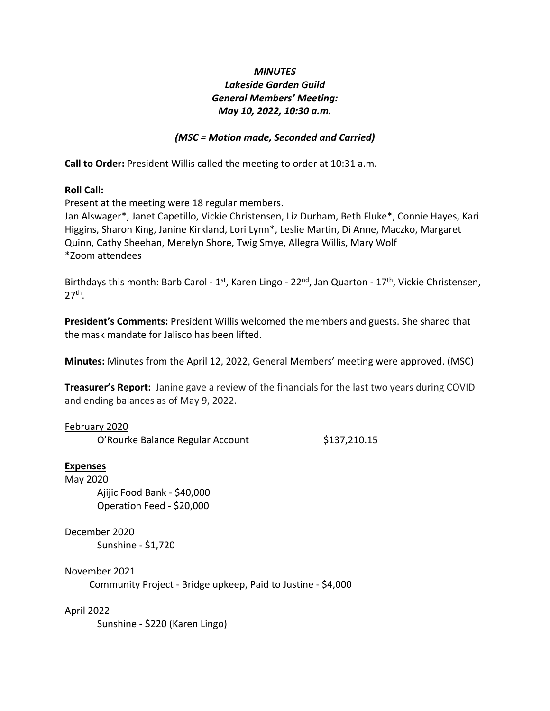# *MINUTES Lakeside Garden Guild General Members' Meeting: May 10, 2022, 10:30 a.m.*

## *(MSC = Motion made, Seconded and Carried)*

**Call to Order:** President Willis called the meeting to order at 10:31 a.m.

### **Roll Call:**

Present at the meeting were 18 regular members.

Jan Alswager\*, Janet Capetillo, Vickie Christensen, Liz Durham, Beth Fluke\*, Connie Hayes, Kari Higgins, Sharon King, Janine Kirkland, Lori Lynn\*, Leslie Martin, Di Anne, Maczko, Margaret Quinn, Cathy Sheehan, Merelyn Shore, Twig Smye, Allegra Willis, Mary Wolf \*Zoom attendees

Birthdays this month: Barb Carol -  $1^{st}$ , Karen Lingo - 22<sup>nd</sup>, Jan Quarton -  $17^{th}$ , Vickie Christensen,  $27<sup>th</sup>$ .

**President's Comments:** President Willis welcomed the members and guests. She shared that the mask mandate for Jalisco has been lifted.

**Minutes:** Minutes from the April 12, 2022, General Members' meeting were approved. (MSC)

**Treasurer's Report:** Janine gave a review of the financials for the last two years during COVID and ending balances as of May 9, 2022.

### February 2020

O'Rourke Balance Regular Account \$137,210.15

### **Expenses**

May 2020 Ajijic Food Bank - \$40,000 Operation Feed - \$20,000

December 2020 Sunshine - \$1,720

November 2021 Community Project - Bridge upkeep, Paid to Justine - \$4,000

### April 2022

Sunshine - \$220 (Karen Lingo)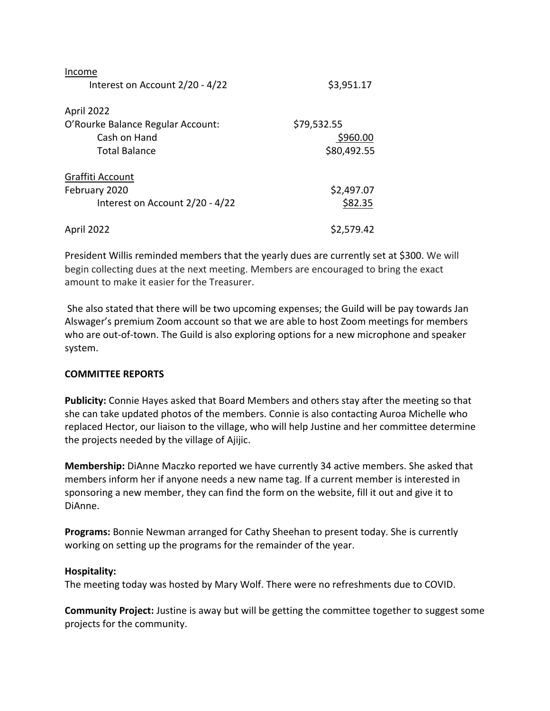| Income                            |             |
|-----------------------------------|-------------|
| Interest on Account 2/20 - 4/22   | \$3,951.17  |
| April 2022                        |             |
| O'Rourke Balance Regular Account: | \$79,532.55 |
| Cash on Hand                      | \$960.00    |
| <b>Total Balance</b>              | \$80,492.55 |
| Graffiti Account                  |             |
| February 2020                     | \$2,497.07  |
| Interest on Account 2/20 - 4/22   | \$82.35     |
| April 2022                        | \$2,579.42  |

President Willis reminded members that the yearly dues are currently set at \$300. We will begin collecting dues at the next meeting. Members are encouraged to bring the exact amount to make it easier for the Treasurer.

She also stated that there will be two upcoming expenses; the Guild will be pay towards Jan Alswager's premium Zoom account so that we are able to host Zoom meetings for members who are out-of-town. The Guild is also exploring options for a new microphone and speaker system.

### **COMMITTEE REPORTS**

**Publicity:** Connie Hayes asked that Board Members and others stay after the meeting so that she can take updated photos of the members. Connie is also contacting Auroa Michelle who replaced Hector, our liaison to the village, who will help Justine and her committee determine the projects needed by the village of Ajijic.

**Membership:** DiAnne Maczko reported we have currently 34 active members. She asked that members inform her if anyone needs a new name tag. If a current member is interested in sponsoring a new member, they can find the form on the website, fill it out and give it to DiAnne.

**Programs:** Bonnie Newman arranged for Cathy Sheehan to present today. She is currently working on setting up the programs for the remainder of the year.

#### **Hospitality:**

The meeting today was hosted by Mary Wolf. There were no refreshments due to COVID.

**Community Project:** Justine is away but will be getting the committee together to suggest some projects for the community.